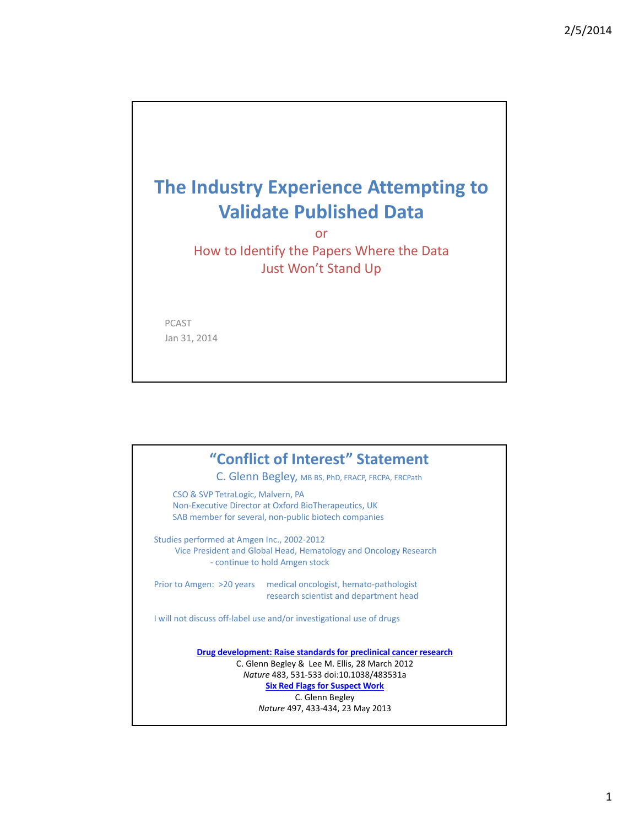# **The Industry Experience Attempting to Validate Published Data**

or

How to Identify the Papers Where the Data Just Won't Stand Up

PCAST Jan 31, 2014

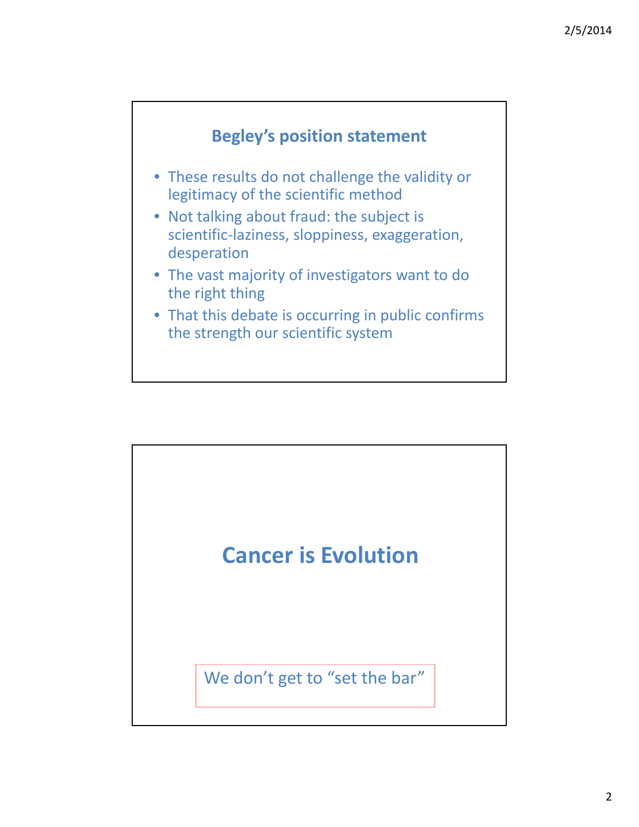

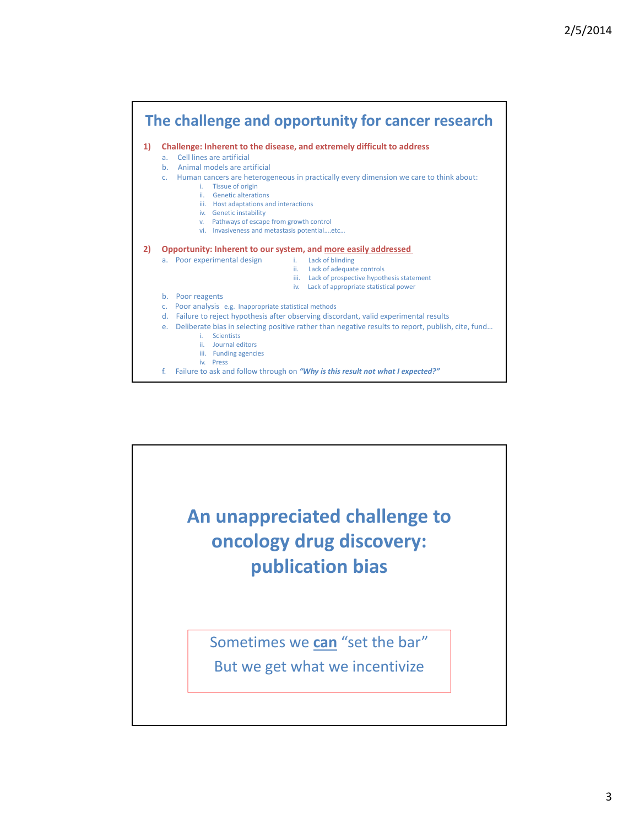

f. Failure to ask and follow through on *"Why is this result not what I expected?"*

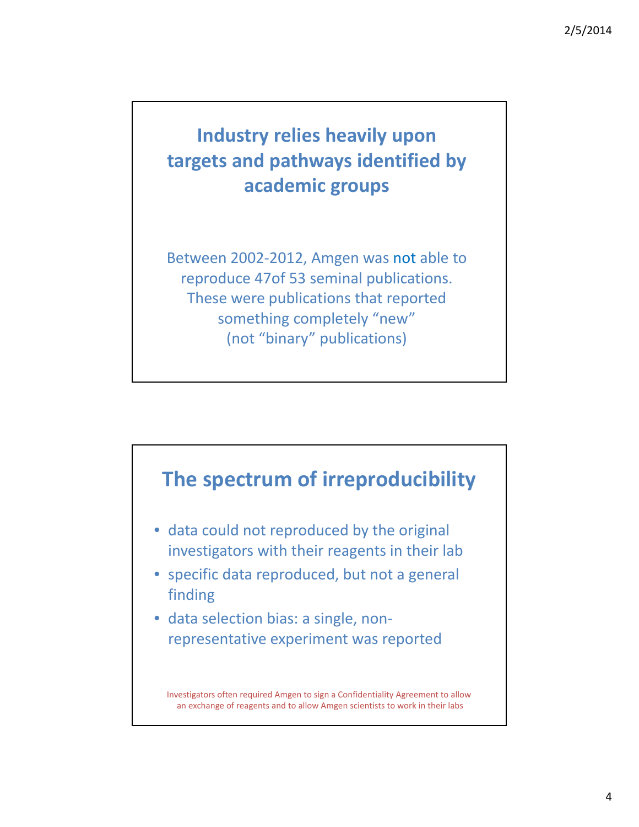## **Industry relies heavily upon targets and pathways identified by academic groups**

Between 2002‐2012, Amgen was not able to reproduce 47of 53 seminal publications. These were publications that reported something completely "new" (not "binary" publications)

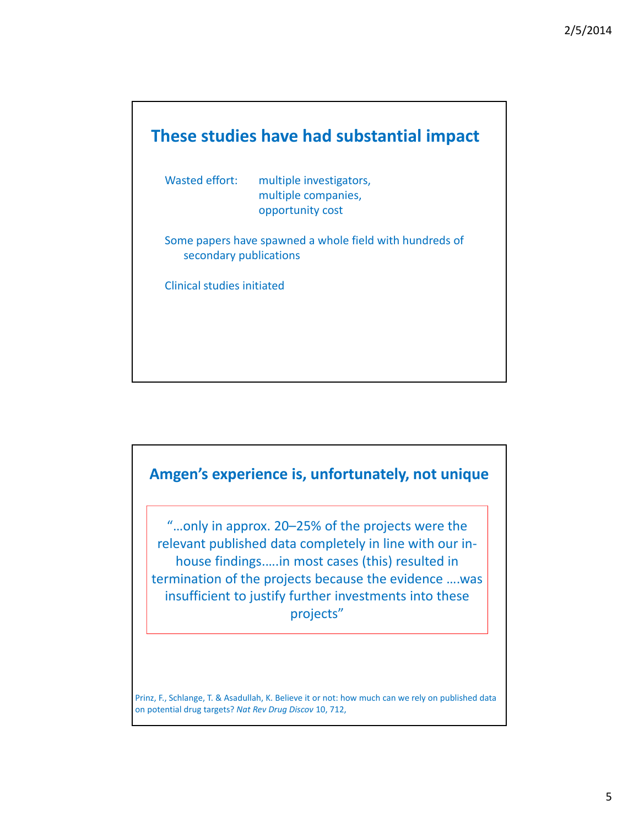



Prinz, F., Schlange, T. & Asadullah, K. Believe it or not: how much can we rely on published data on potential drug targets? *Nat Rev Drug Discov* 10, 712,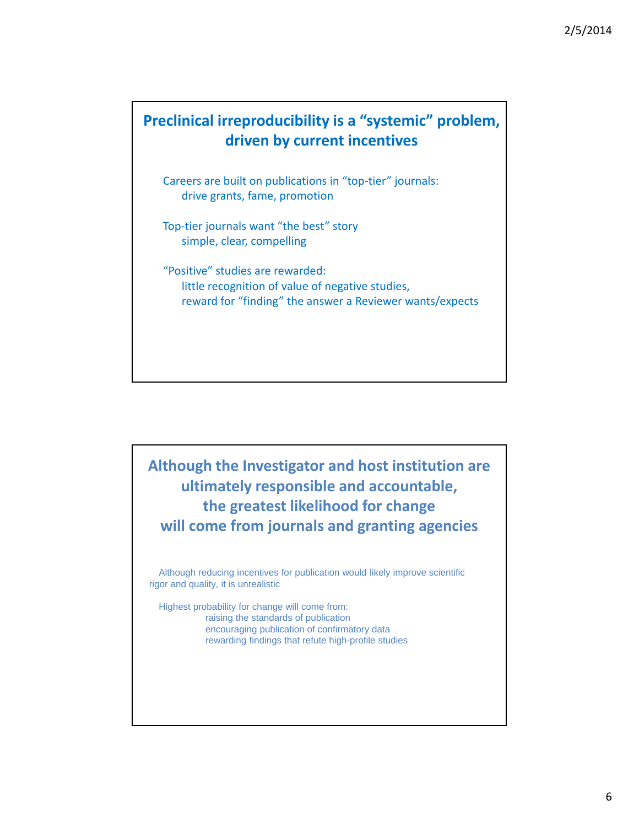#### **Preclinical irreproducibility is a "systemic" problem, driven by current incentives**

Careers are built on publications in "top‐tier" journals: drive grants, fame, promotion

Top-tier journals want "the best" story simple, clear, compelling

"Positive" studies are rewarded: little recognition of value of negative studies, reward for "finding" the answer a Reviewer wants/expects

**Although the Investigator and host institution are ultimately responsible and accountable, the greatest likelihood for change will come from journals and granting agencies**

Although reducing incentives for publication would likely improve scientific rigor and quality, it is unrealistic

Highest probability for change will come from: raising the standards of publication encouraging publication of confirmatory data rewarding findings that refute high-profile studies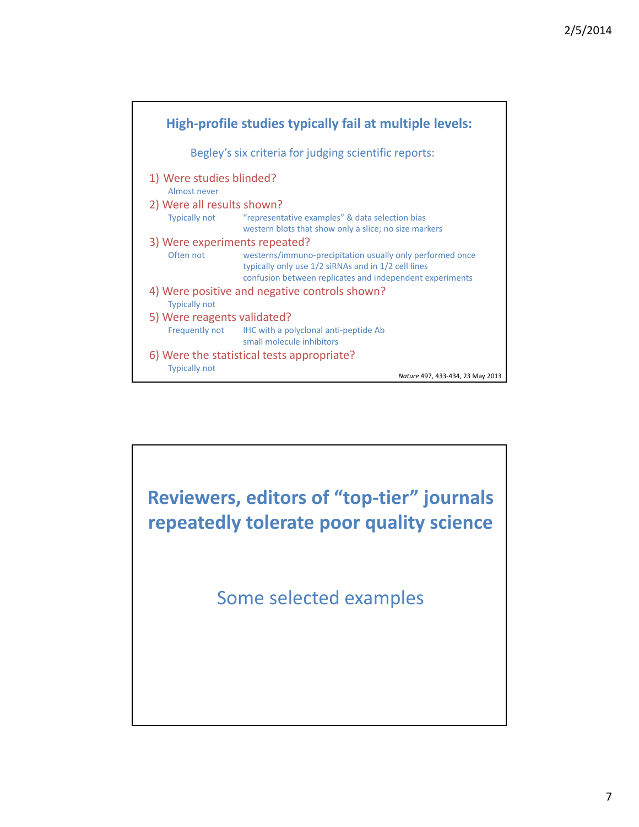

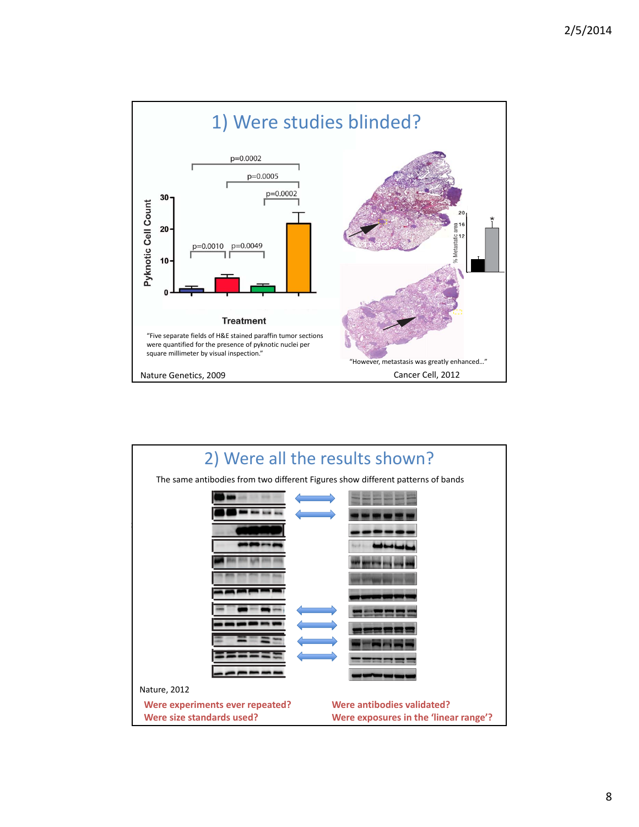

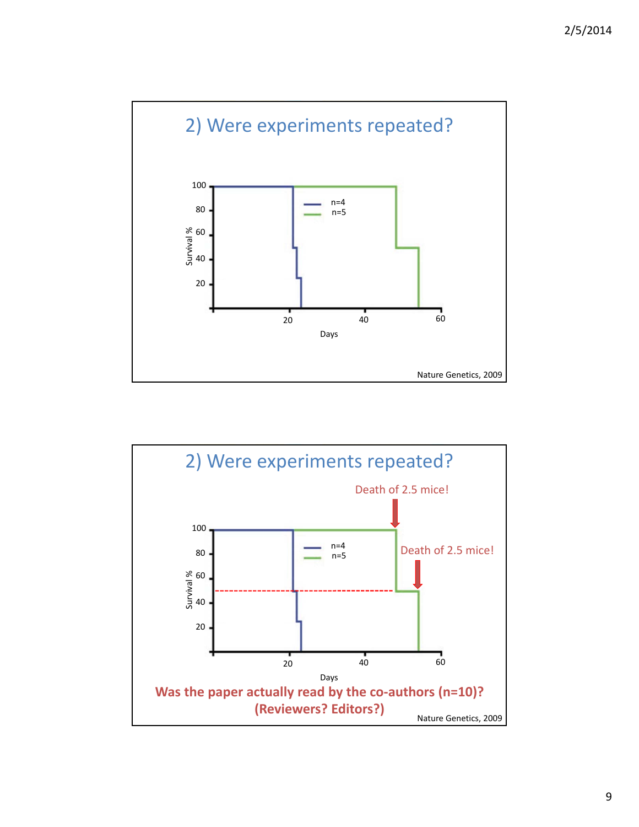

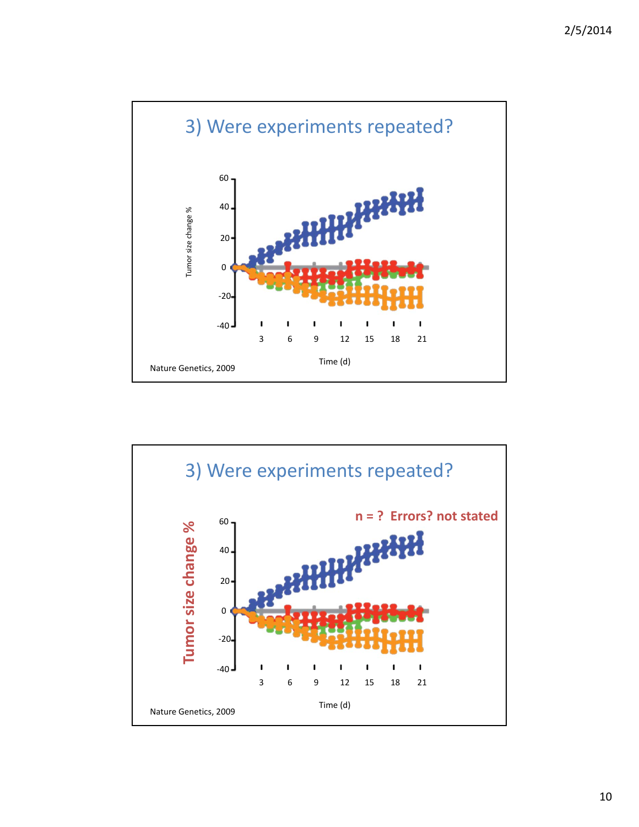

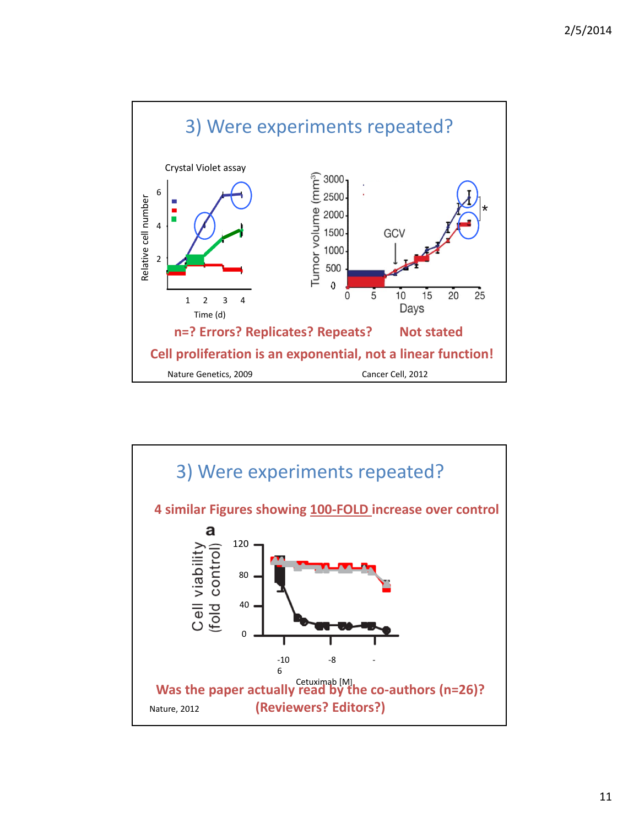

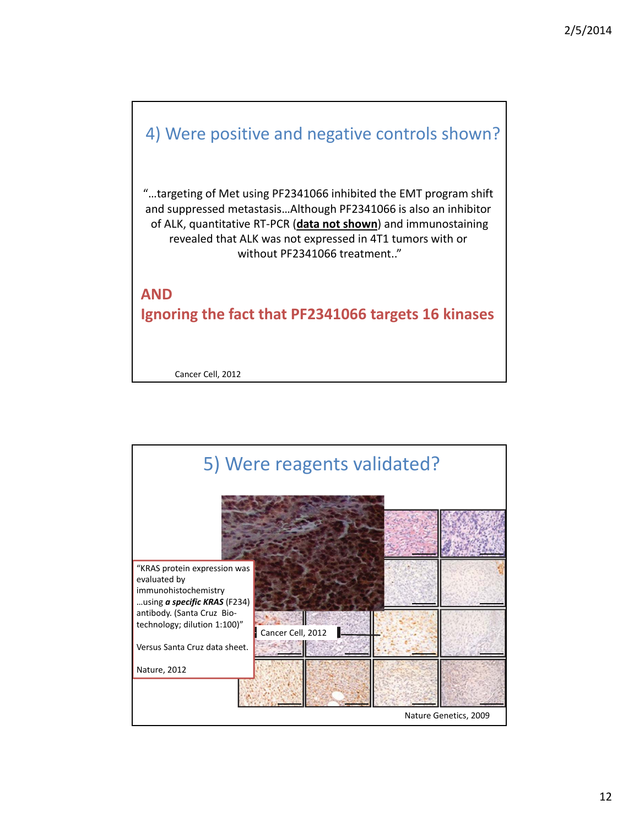



12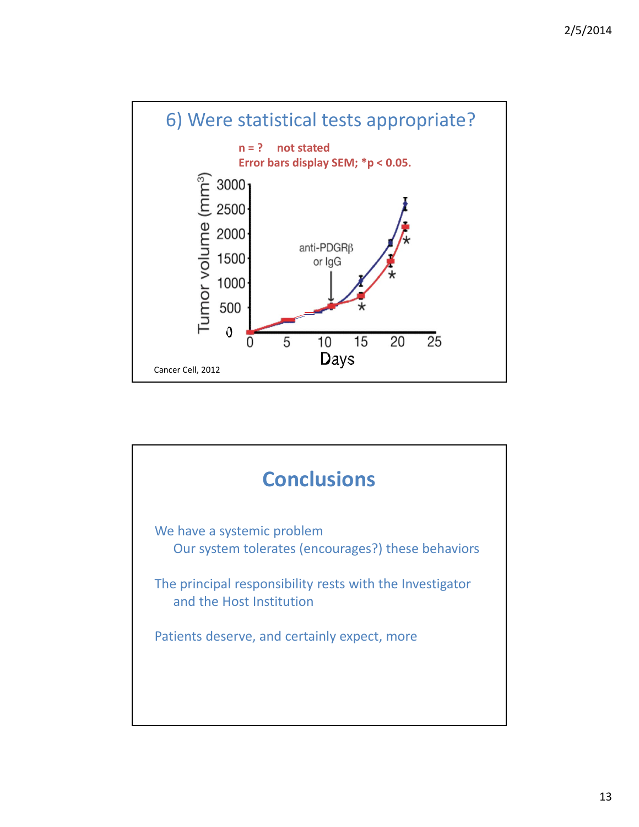

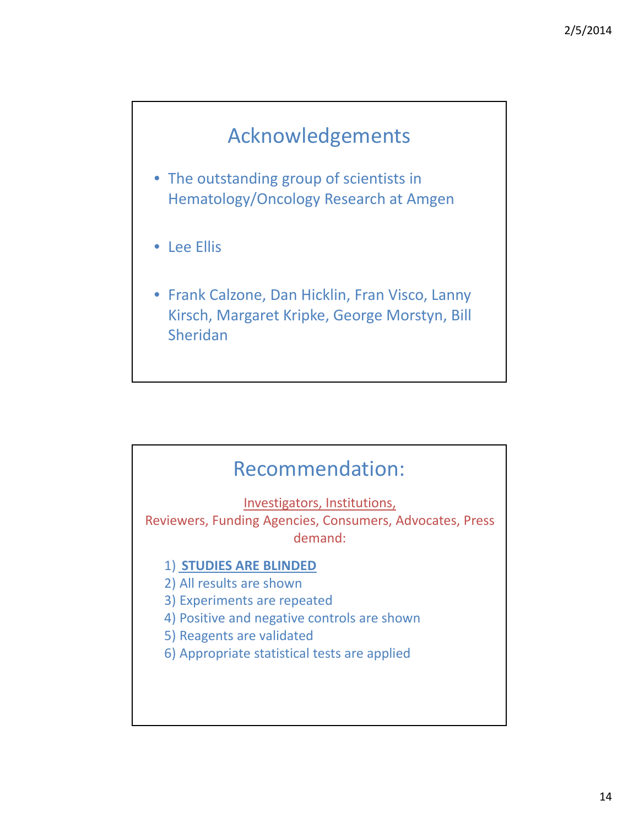### Acknowledgements

- The outstanding group of scientists in Hematology/Oncology Research at Amgen
- Lee Ellis
- Frank Calzone, Dan Hicklin, Fran Visco, Lanny Kirsch, Margaret Kripke, George Morstyn, Bill Sheridan

#### Recommendation:

Investigators, Institutions,

Reviewers, Funding Agencies, Consumers, Advocates, Press demand:

#### 1) **STUDIES ARE BLINDED**

2) All results are shown

- 3) Experiments are repeated
- 4) Positive and negative controls are shown
- 5) Reagents are validated
- 6) Appropriate statistical tests are applied